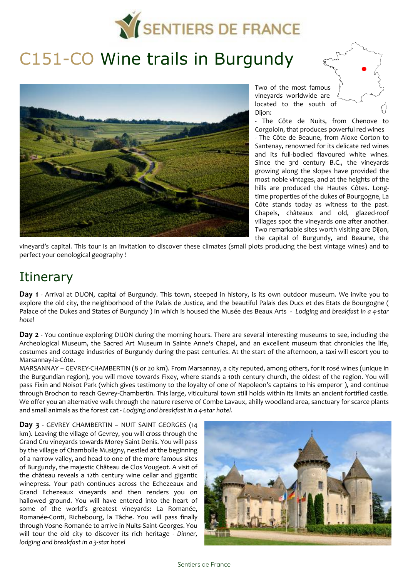

# C151-CO Wine trails in Burgundy



Two of the most famous vineyards worldwide are located to the south of Dijon:

- The Côte de Nuits, from Chenove to Corgoloin, that produces powerful red wines - The Côte de Beaune, from Aloxe Corton to Santenay, renowned for its delicate red wines and its full-bodied flavoured white wines. Since the 3rd century B.C., the vineyards growing along the slopes have provided the most noble vintages, and at the heights of the hills are produced the Hautes Côtes. Longtime properties of the dukes of Bourgogne, La Côte stands today as witness to the past. Chapels, châteaux and old, glazed-roof villages spot the vineyards one after another. Two remarkable sites worth visiting are Dijon, the capital of Burgundy, and Beaune, the

vineyard's capital. This tour is an invitation to discover these climates (small plots producing the best vintage wines) and to perfect your oenological geography !

## **Itinerary**

**Day 1** - Arrival at DIJON, capital of Burgundy. This town, steeped in history, is its own outdoor museum. We invite you to explore the old city, the neighborhood of the Palais de Justice, and the beautiful Palais des Ducs et des Etats de Bourgogne ( Palace of the Dukes and States of Burgundy ) in which is housed the Musée des Beaux Arts - *Lodging and breakfast in a 4-star hotel* 

**Day 2** - You continue exploring DIJON during the morning hours. There are several interesting museums to see, including the Archeological Museum, the Sacred Art Museum in Sainte Anne's Chapel, and an excellent museum that chronicles the life, costumes and cottage industries of Burgundy during the past centuries. At the start of the afternoon, a taxi will escort you to Marsannay-la-Côte.

MARSANNAY – GEVREY-CHAMBERTIN (8 or 20 km). From Marsannay, a city reputed, among others, for it rosé wines (unique in the Burgundian region), you will move towards Fixey, where stands a 10th century church, the oldest of the region. You will pass Fixin and Noisot Park (which gives testimony to the loyalty of one of Napoleon's captains to his emperor ), and continue through Brochon to reach Gevrey-Chambertin. This large, viticultural town still holds within its limits an ancient fortified castle. We offer you an alternative walk through the nature reserve of Combe Layaux, ahilly woodland area, sanctuary for scarce plants and small animals as the forest cat - *Lodging and breakfast in a 4-star hotel.*

**Day 3** - GEVREY CHAMBERTIN – NUIT SAINT GEORGES (14 km). Leaving the village of Gevrey, you will cross through the Grand Cru vineyards towards Morey Saint Denis. You will pass by the village of Chambolle Musigny, nestled at the beginning of a narrow valley, and head to one of the more famous sites of Burgundy, the majestic Château de Clos Vougeot. A visit of the château reveals a 12th century wine cellar and gigantic winepress. Your path continues across the Echezeaux and Grand Echezeaux vineyards and then renders you on hallowed ground. You will have entered into the heart of some of the world's greatest vineyards: La Romanée, Romanée-Conti, Richebourg, la Tâche. You will pass finally through Vosne-Romanée to arrive in Nuits-Saint-Georges. You will tour the old city to discover its rich heritage - *Dinner, lodging and breakfast in a 3-star hotel*

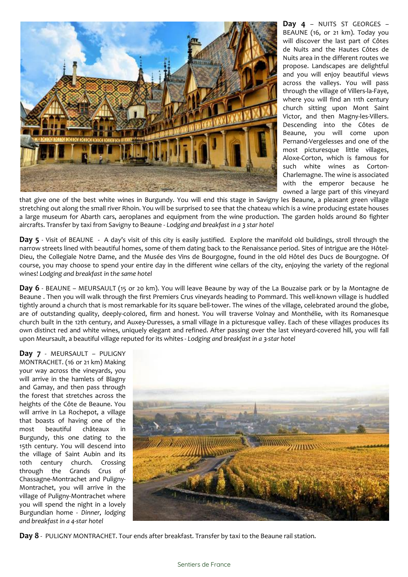

**Day 4** – NUITS ST GEORGES – BEAUNE (16, or 21 km). Today you will discover the last part of Côtes de Nuits and the Hautes Côtes de Nuits area in the different routes we propose. Landscapes are delightful and you will enjoy beautiful views across the valleys. You will pass through the village of Villers-la-Faye, where you will find an 11th century church sitting upon Mont Saint Victor, and then Magny-les-Villers. Descending into the Côtes de Beaune, you will come upon Pernand-Vergelesses and one of the most picturesque little villages, Aloxe-Corton, which is famous for such white wines as Corton-Charlemagne. The wine is associated with the emperor because he owned a large part of this vineyard

that give one of the best white wines in Burgundy. You will end this stage in Savigny les Beaune, a pleasant green village stretching out along the small river Rhoin. You will be surprised to see that the chateau which is a wine producing estate houses a large museum for Abarth cars, aeroplanes and equipment from the wine production. The garden holds around 80 fighter aircrafts. Transfer by taxi from Savigny to Beaune - *Lodging and breakfast in a 3 star hotel* 

**Day 5** - Visit of BEAUNE - A day's visit of this city is easily justified. Explore the manifold old buildings, stroll through the narrow streets lined with beautiful homes, some of them dating back to the Renaissance period. Sites of intrigue are the Hôtel-Dieu, the Collegiale Notre Dame, and the Musée des Vins de Bourgogne, found in the old Hôtel des Ducs de Bourgogne. Of course, you may choose to spend your entire day in the different wine cellars of the city, enjoying the variety of the regional wines! *Lodging and breakfast in the same hotel*

**Day 6** - BEAUNE – MEURSAULT (15 or 20 km). You will leave Beaune by way of the La Bouzaise park or by la Montagne de Beaune . Then you will walk through the first Premiers Crus vineyards heading to Pommard. This well-known village is huddled tightly around a church that is most remarkable for its square bell-tower. The wines of the village, celebrated around the globe, are of outstanding quality, deeply-colored, firm and honest. You will traverse Volnay and Monthélie, with its Romanesque church built in the 12th century, and Auxey-Duresses, a small village in a picturesque valley. Each of these villages produces its own distinct red and white wines, uniquely elegant and refined. After passing over the last vineyard-covered hill, you will fall upon Meursault, a beautiful village reputed for its whites - *Lodging and breakfast in a 3-star hotel* 

**Day 7** - MEURSAULT – PULIGNY MONTRACHET. (16 or 21 km) Making your way across the vineyards, you will arrive in the hamlets of Blagny and Gamay, and then pass through the forest that stretches across the heights of the Côte de Beaune. You will arrive in La Rochepot, a village that boasts of having one of the most beautiful châteaux in Burgundy, this one dating to the 15th century. You will descend into the village of Saint Aubin and its 10th century church. Crossing through the Grands Crus of Chassagne-Montrachet and Puligny-Montrachet, you will arrive in the village of Puligny-Montrachet where you will spend the night in a lovely Burgundian home - *Dinner, lodging and breakfast in a 4-star hotel* 



**Day 8** - PULIGNY MONTRACHET. Tour ends after breakfast. Transfer by taxi to the Beaune rail station.